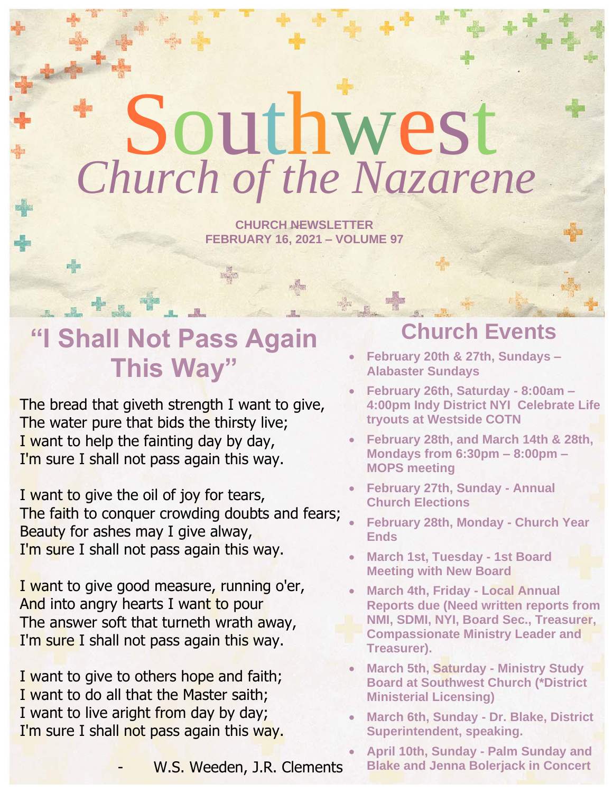# Southwest *Church of the Nazarene*

**CHURCH NEWSLETTER FEBRUARY 16, 2021 – VOLUME 97**

## **"I Shall Not Pass Again This Way"**

+ . \*

de.

The bread that giveth strength I want to give, The water pure that bids the thirsty live; I want to help the fainting day by day, I'm sure I shall not pass again this way.

I want to give the oil of joy for tears, The faith to conquer crowding doubts and fears; Beauty for ashes may I give alway, I'm sure I shall not pass again this way.

I want to give good measure, running o'er, And into angry hearts I want to pour The answer soft that turneth wrath away, I'm sure I shall not pass again this way.

I want to give to others hope and faith; I want to do all that the Master saith; I want to live aright from day by day; I'm sure I shall not pass again this way.

W.S. Weeden, J.R. Clements

## **Church Events**

- **February 20th & 27th, Sundays – Alabaster Sundays**
- **February 26th, Saturday - 8:00am – 4:00pm Indy District NYI Celebrate Life tryouts at Westside COTN**
- **February 28th, and March 14th & 28th, Mondays from 6:30pm – 8:00pm – MOPS meeting**
- **February 27th, Sunday - Annual Church Elections**
- **February 28th, Monday - Church Year Ends**
- **March 1st, Tuesday - 1st Board Meeting with New Board**
- **March 4th, Friday - Local Annual Reports due (Need written reports from NMI, SDMI, NYI, Board Sec., Treasurer, Compassionate Ministry Leader and Treasurer).**
- **March 5th, Saturday - Ministry Study Board at Southwest Church (\*District Ministerial Licensing)**
- **March 6th, Sunday - Dr. Blake, District Superintendent, speaking.**
- **April 10th, Sunday - Palm Sunday and Blake and Jenna Bolerjack in Concert**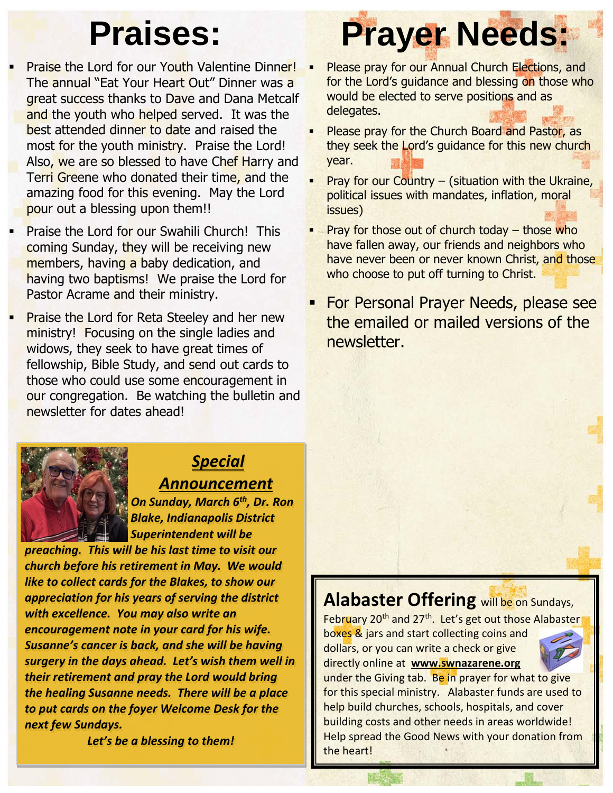- Praise the Lord for our Youth Valentine Dinner! The annual "Eat Your Heart Out" Dinner was a great success thanks to Dave and Dana Metcalf and the youth who helped served. It was the best attended dinner to date and raised the most for the youth ministry. Praise the Lord! Also, we are so blessed to have Chef Harry and Terri Greene who donated their time, and the amazing food for this evening. May the Lord pour out a blessing upon them!!
- Praise the Lord for our Swahili Church! This coming Sunday, they will be receiving new members, having a baby dedication, and having two baptisms! We praise the Lord for Pastor Acrame and their ministry.
- **Praise the Lord for Reta Steeley and her new** ministry! Focusing on the single ladies and widows, they seek to have great times of fellowship, Bible Study, and send out cards to those who could use some encouragement in our congregation. Be watching the bulletin and newsletter for dates ahead!

## **Praises: Prayer Needs:**

- Please pray for our Annual Church Elections, and for the Lord's guidance and blessing on those who would be elected to serve positions and as delegates.
- Please pray for the Church Board and Pastor, as they seek the Lord's guidance for this new church year.
- Pray for our Country  $-$  (situation with the Ukraine, political issues with mandates, inflation, moral issues)
- Pray for those out of church today  $-$  those who have fallen away, our friends and neighbors who have never been or never known Christ, and those who choose to put off turning to Christ.
- **For Personal Prayer Needs, please see** the emailed or mailed versions of the newsletter.



## *Special Announcement*

 *On Sunday, March 6th, Dr. Ron Blake, Indianapolis District Superintendent will be* 

*preaching. This will be his last time to visit our church before his retirement in May. We would like to collect cards for the Blakes, to show our appreciation for his years of serving the district with excellence. You may also write an encouragement note in your card for his wife. Susanne's cancer is back, and she will be having surgery in the days ahead. Let's wish them well in their retirement and pray the Lord would bring the healing Susanne needs. There will be a place to put cards on the foyer Welcome Desk for the next few Sundays.* 

*Let's be a blessing to them!*

## **Alabaster Offering** will be on Sundays,

February 20<sup>th</sup> and 27<sup>th</sup>. Let's get out those Alabaster boxes & jars and start collecting coins and dollars, or you can write a check or give directly online at **[www.swnazarene.org](http://www.swnazarene.org/)**



under the Giving tab. Be in prayer for what to give for this special ministry. Alabaster funds are used to help build churches, schools, hospitals, and cover building costs and other needs in areas worldwide! Help spread the Good News with your donation from the heart!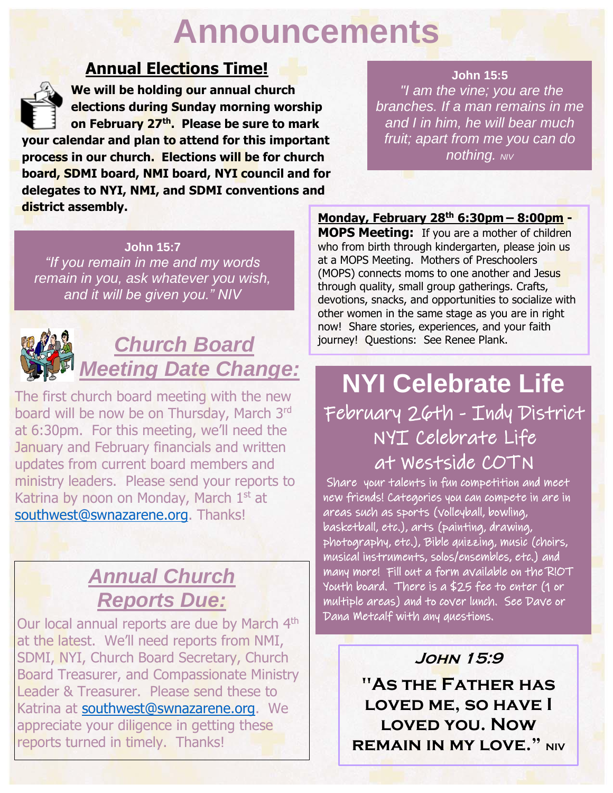## **Announcements**

### **Annual Elections Time!**

 **We will be holding our annual church elections during Sunday morning worship on February 27th. Please be sure to mark your calendar and plan to attend for this important process in our church. Elections will be for church board, SDMI board, NMI board, NYI council and for delegates to NYI, NMI, and SDMI conventions and district assembly.**

#### **John 15:5**

*"I am the vine; you are the branches. If a man remains in me and I in him, he will bear much fruit; apart from me you can do nothing. NIV*

**John 15:7** *"If you remain in me and my words remain in you, ask whatever you wish, and it will be given you." NIV*



## *Church Board Meeting Date Change:*

The first church board meeting with the new board will be now be on Thursday, March 3rd at 6:30pm. For this meeting, we'll need the January and February financials and written updates from current board members and ministry leaders. Please send your reports to Katrina by noon on Monday, March 1<sup>st</sup> at [southwest@swnazarene.org.](mailto:southwest@swnazarene.org) Thanks!

## *Annual Church Reports Due:*

Our local annual reports are due by March 4<sup>th</sup> at the latest. We'll need reports from NMI, SDMI, NYI, Church Board Secretary, Church Board Treasurer, and Compassionate Ministry Leader & Treasurer. Please send these to Katrina at [southwest@swnazarene.org.](mailto:southwest@swnazarene.org) We appreciate your diligence in getting these reports turned in timely. Thanks!

**Monday, February 28th 6:30pm – 8:00pm - MOPS Meeting:** If you are a mother of children who from birth through kindergarten, please join us at a MOPS Meeting. Mothers of Preschoolers (MOPS) connects moms to one another and Jesus through quality, small group gatherings. Crafts, devotions, snacks, and opportunities to socialize with other women in the same stage as you are in right now! Share stories, experiences, and your faith journey! Questions: See Renee Plank.

## **NYI Celebrate Life** February 26th - Indy District NYI Celebrate Life at Westside COTN

 Share your talents in fun competition and meet new friends! Categories you can compete in are in areas such as sports (volleyball, bowling, basketball, etc.), arts (painting, drawing, photography, etc.), Bible quizzing, music (choirs, musical instruments, solos/ensembles, etc.) and many more! Fill out a form available on the R!OT Youth board. There is a \$25 fee to enter (1 or multiple areas) and to cover lunch. See Dave or Dana Metcalf with any questions.

#### **John 15:9**

**"As the Father has loved me, so have I loved you. Now REMAIN IN MY LOVE."** NIV